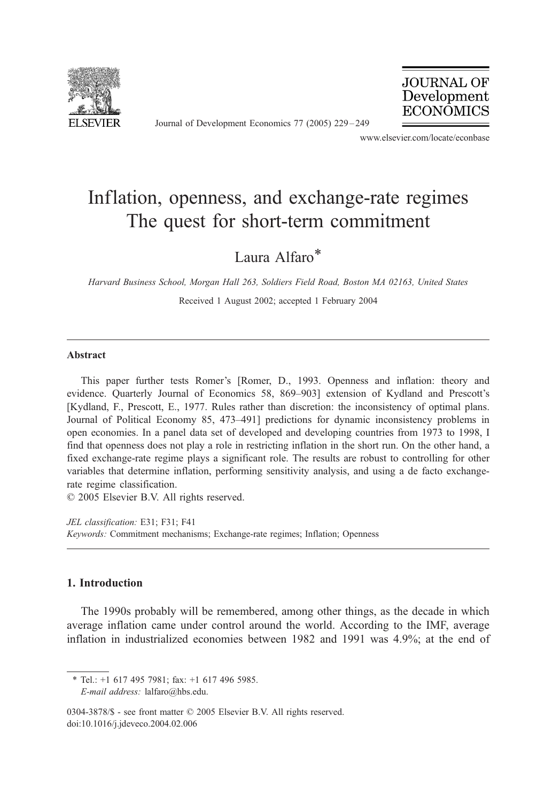

Journal of Development Economics 77 (2005) 229 – 249



www.elsevier.com/locate/econbase

## Inflation, openness, and exchange-rate regimes The quest for short-term commitment

Laura Alfaro\*

Harvard Business School, Morgan Hall 263, Soldiers Field Road, Boston MA 02163, United States Received 1 August 2002; accepted 1 February 2004

## Abstract

This paper further tests Romer's [Romer, D., 1993. Openness and inflation: theory and evidence. Quarterly Journal of Economics 58, 869–903] extension of Kydland and Prescott's [Kydland, F., Prescott, E., 1977. Rules rather than discretion: the inconsistency of optimal plans. Journal of Political Economy 85, 473–491] predictions for dynamic inconsistency problems in open economies. In a panel data set of developed and developing countries from 1973 to 1998, I find that openness does not play a role in restricting inflation in the short run. On the other hand, a fixed exchange-rate regime plays a significant role. The results are robust to controlling for other variables that determine inflation, performing sensitivity analysis, and using a de facto exchangerate regime classification.

 $\odot$  2005 Elsevier B.V. All rights reserved.

JEL classification: E31; F31; F41 Keywords: Commitment mechanisms; Exchange-rate regimes; Inflation; Openness

## 1. Introduction

The 1990s probably will be remembered, among other things, as the decade in which average inflation came under control around the world. According to the IMF, average inflation in industrialized economies between 1982 and 1991 was 4.9%; at the end of

0304-3878/\$ - see front matter © 2005 Elsevier B.V. All rights reserved. doi:10.1016/j.jdeveco.2004.02.006

<sup>\*</sup> Tel.: +1 617 495 7981; fax: +1 617 496 5985. E-mail address: lalfaro@hbs.edu.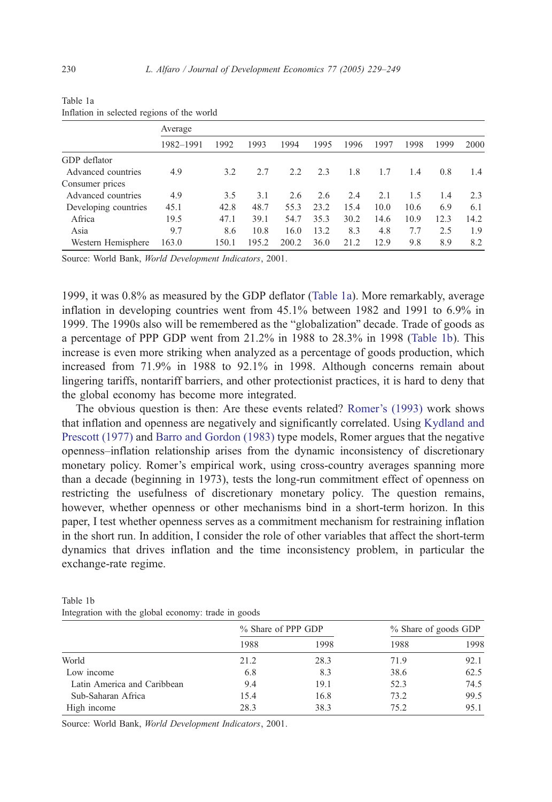|                      | Average   |       |       |       |      |      |      |      |      |      |
|----------------------|-----------|-------|-------|-------|------|------|------|------|------|------|
|                      | 1982-1991 | 1992  | 1993  | 1994  | 1995 | 1996 | 1997 | 1998 | 1999 | 2000 |
| GDP deflator         |           |       |       |       |      |      |      |      |      |      |
| Advanced countries   | 4.9       | 3.2   | 2.7   | 2.2   | 2.3  | 1.8  | 1.7  | 1.4  | 0.8  | 1.4  |
| Consumer prices      |           |       |       |       |      |      |      |      |      |      |
| Advanced countries   | 4.9       | 3.5   | 3.1   | 2.6   | 2.6  | 2.4  | 2.1  | 15   | 1.4  | 2.3  |
| Developing countries | 45.1      | 42.8  | 48.7  | 55.3  | 23.2 | 15.4 | 10.0 | 10.6 | 6.9  | 6.1  |
| Africa               | 19.5      | 47.1  | 39.1  | 54.7  | 35.3 | 30.2 | 14.6 | 10.9 | 12.3 | 14.2 |
| Asia                 | 9.7       | 8.6   | 10.8  | 16.0  | 13.2 | 8.3  | 4.8  | 7.7  | 2.5  | 1.9  |
| Western Hemisphere   | 163.0     | 150.1 | 195.2 | 200.2 | 36.0 | 21.2 | 129  | 9.8  | 8.9  | 8.2  |

| TUUIV TU                                   |  |  |  |
|--------------------------------------------|--|--|--|
| Inflation in selected regions of the world |  |  |  |

Source: World Bank, World Development Indicators, 2001.

1999, it was 0.8% as measured by the GDP deflator (Table 1a). More remarkably, average inflation in developing countries went from 45.1% between 1982 and 1991 to 6.9% in 1999. The 1990s also will be remembered as the "globalization" decade. Trade of goods as a percentage of PPP GDP went from 21.2% in 1988 to 28.3% in 1998 (Table 1b). This increase is even more striking when analyzed as a percentage of goods production, which increased from 71.9% in 1988 to 92.1% in 1998. Although concerns remain about lingering tariffs, nontariff barriers, and other protectionist practices, it is hard to deny that the global economy has become more integrated.

The obvious question is then: Are these events related? [Romer's \(1993\)](#page--1-0) work shows that inflation and openness are negatively and significantly correlated. Using [Kydland and](#page--1-0) Prescott (1977) and [Barro and Gordon \(1983\)](#page--1-0) type models, Romer argues that the negative openness–inflation relationship arises from the dynamic inconsistency of discretionary monetary policy. Romer's empirical work, using cross-country averages spanning more than a decade (beginning in 1973), tests the long-run commitment effect of openness on restricting the usefulness of discretionary monetary policy. The question remains, however, whether openness or other mechanisms bind in a short-term horizon. In this paper, I test whether openness serves as a commitment mechanism for restraining inflation in the short run. In addition, I consider the role of other variables that affect the short-term dynamics that drives inflation and the time inconsistency problem, in particular the exchange-rate regime.

| Table 1b                                            |  |  |  |  |
|-----------------------------------------------------|--|--|--|--|
| Integration with the global economy: trade in goods |  |  |  |  |

|                             | % Share of PPP GDP |      | % Share of goods GDP |      |  |
|-----------------------------|--------------------|------|----------------------|------|--|
|                             | 1988               | 1998 | 1988                 | 1998 |  |
| World                       | 21.2               | 28.3 | 71.9                 | 92.1 |  |
| Low income                  | 6.8                | 8.3  | 38.6                 | 62.5 |  |
| Latin America and Caribbean | 9.4                | 19.1 | 52.3                 | 74.5 |  |
| Sub-Saharan Africa          | 15.4               | 16.8 | 73.2                 | 99.5 |  |
| High income                 | 28.3               | 38.3 | 75.2                 | 95.1 |  |

Source: World Bank, World Development Indicators, 2001.

Table 1a